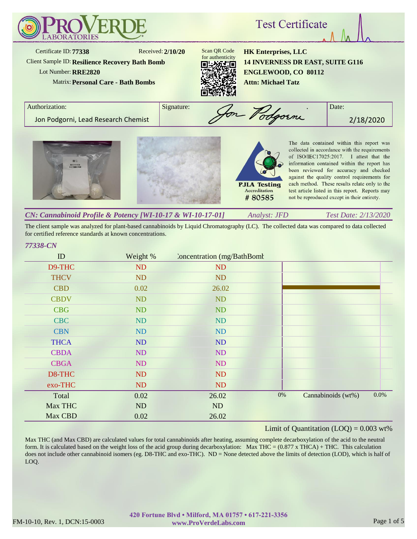

#### *Analyst: JFD Test Date: 2/13/2020 CN: Cannabinoid Profile & Potency [WI-10-17 & WI-10-17-01]*

The client sample was analyzed for plant-based cannabinoids by Liquid Chromatography (LC). The collected data was compared to data collected for certified reference standards at known concentrations.

#### *77338-CN*

| ID          | Weight %  | Concentration (mg/BathBomt) |       |                    |      |
|-------------|-----------|-----------------------------|-------|--------------------|------|
| D9-THC      | ND        | ND                          |       |                    |      |
| <b>THCV</b> | ND        | <b>ND</b>                   |       |                    |      |
| <b>CBD</b>  | 0.02      | 26.02                       |       |                    |      |
| <b>CBDV</b> | ND        | ND                          |       |                    |      |
| <b>CBG</b>  | <b>ND</b> | <b>ND</b>                   |       |                    |      |
| <b>CBC</b>  | ND        | ND                          |       |                    |      |
| <b>CBN</b>  | ND        | ND                          |       |                    |      |
| <b>THCA</b> | ND        | ND                          |       |                    |      |
| <b>CBDA</b> | ND        | ND                          |       |                    |      |
| <b>CBGA</b> | ND        | <b>ND</b>                   |       |                    |      |
| D8-THC      | ND        | <b>ND</b>                   |       |                    |      |
| exo-THC     | ND        | <b>ND</b>                   |       |                    |      |
| Total       | 0.02      | 26.02                       | $0\%$ | Cannabinoids (wt%) | 0.0% |
| Max THC     | ND        | ND                          |       |                    |      |
| Max CBD     | 0.02      | 26.02                       |       |                    |      |

## Limit of Quantitation  $(LOQ) = 0.003$  wt%

Max THC (and Max CBD) are calculated values for total cannabinoids after heating, assuming complete decarboxylation of the acid to the neutral form. It is calculated based on the weight loss of the acid group during decarboxylation: Max THC =  $(0.877 \times THCA) + THC$ . This calculation does not include other cannabinoid isomers (eg. D8-THC and exo-THC). ND = None detected above the limits of detection (LOD), which is half of LOQ.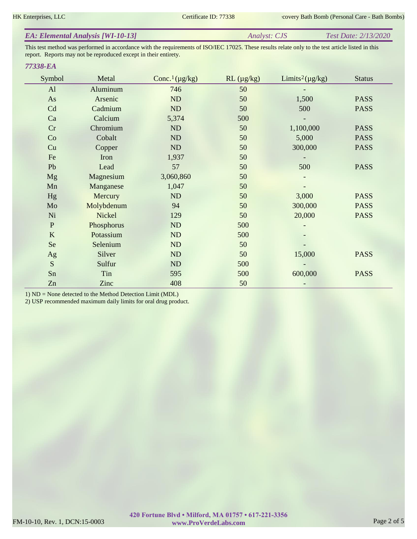| <b>EA: Elemental Analysis [WI-10-13]</b> | <i>Analyst: CJS</i> | <b>Test Date: 2/13/2020</b> |
|------------------------------------------|---------------------|-----------------------------|
|                                          |                     |                             |

This test method was performed in accordance with the requirements of ISO/IEC 17025. These results relate only to the test article listed in this report. Reports may not be reproduced except in their entirety.

#### *77338-EA*

| Symbol       | Metal      | Conc. <sup>1</sup> ( $\mu$ g/kg) | $RL (\mu g/kg)$ | Limits <sup>2</sup> ( $\mu$ g/kg) | <b>Status</b> |
|--------------|------------|----------------------------------|-----------------|-----------------------------------|---------------|
| AI           | Aluminum   | 746                              | 50              |                                   |               |
| As           | Arsenic    | ND                               | 50              | 1,500                             | <b>PASS</b>   |
| Cd           | Cadmium    | ND                               | 50              | 500                               | <b>PASS</b>   |
| Ca           | Calcium    | 5,374                            | 500             |                                   |               |
| Cr           | Chromium   | ND                               | 50              | 1,100,000                         | <b>PASS</b>   |
| Co           | Cobalt     | ND                               | 50              | 5,000                             | <b>PASS</b>   |
| Cu           | Copper     | ND                               | 50              | 300,000                           | <b>PASS</b>   |
| Fe           | Iron       | 1,937                            | 50              |                                   |               |
| Pb           | Lead       | 57                               | 50              | 500                               | <b>PASS</b>   |
| Mg           | Magnesium  | 3,060,860                        | 50              |                                   |               |
| Mn           | Manganese  | 1,047                            | 50              |                                   |               |
| Hg           | Mercury    | ND                               | 50              | 3,000                             | <b>PASS</b>   |
| Mo           | Molybdenum | 94                               | 50              | 300,000                           | <b>PASS</b>   |
| Ni           | Nickel     | 129                              | 50              | 20,000                            | <b>PASS</b>   |
| $\, {\bf P}$ | Phosphorus | ND                               | 500             |                                   |               |
| K            | Potassium  | ND                               | 500             |                                   |               |
| Se           | Selenium   | ND                               | 50              |                                   |               |
| Ag           | Silver     | ND                               | 50              | 15,000                            | <b>PASS</b>   |
| S            | Sulfur     | ND                               | 500             |                                   |               |
| Sn           | Tin        | 595                              | 500             | 600,000                           | <b>PASS</b>   |
| Zn           | Zinc       | 408                              | 50              |                                   |               |

1) ND = None detected to the Method Detection Limit (MDL)

2) USP recommended maximum daily limits for oral drug product.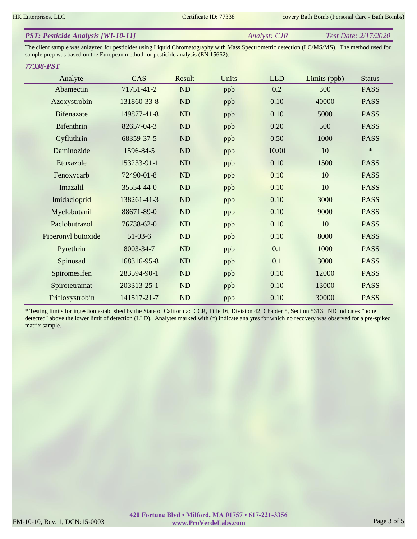| <b>PST: Pesticide Analysis [WI-10-11]</b> | Analyst: CJR | Test Date: 2/17/2020 |
|-------------------------------------------|--------------|----------------------|
|                                           |              |                      |

The client sample was anlayzed for pesticides using Liquid Chromatography with Mass Spectrometric detection (LC/MS/MS). The method used for sample prep was based on the European method for pesticide analysis (EN 15662).

#### *77338-PST*

| Analyte            | CAS         | Result    | Units | <b>LLD</b> | Limits (ppb) | <b>Status</b> |
|--------------------|-------------|-----------|-------|------------|--------------|---------------|
| Abamectin          | 71751-41-2  | <b>ND</b> | ppb   | 0.2        | 300          | <b>PASS</b>   |
| Azoxystrobin       | 131860-33-8 | <b>ND</b> | ppb   | 0.10       | 40000        | <b>PASS</b>   |
| <b>Bifenazate</b>  | 149877-41-8 | ND        | ppb   | 0.10       | 5000         | <b>PASS</b>   |
| Bifenthrin         | 82657-04-3  | <b>ND</b> | ppb   | 0.20       | 500          | <b>PASS</b>   |
| Cyfluthrin         | 68359-37-5  | ND        | ppb   | 0.50       | 1000         | <b>PASS</b>   |
| Daminozide         | 1596-84-5   | ND        | ppb   | 10.00      | 10           | $\ast$        |
| Etoxazole          | 153233-91-1 | ND        | ppb   | 0.10       | 1500         | <b>PASS</b>   |
| Fenoxycarb         | 72490-01-8  | ND        | ppb   | 0.10       | 10           | <b>PASS</b>   |
| Imazalil           | 35554-44-0  | ND        | ppb   | 0.10       | 10           | <b>PASS</b>   |
| Imidacloprid       | 138261-41-3 | ND        | ppb   | 0.10       | 3000         | <b>PASS</b>   |
| Myclobutanil       | 88671-89-0  | ND        | ppb   | 0.10       | 9000         | <b>PASS</b>   |
| Paclobutrazol      | 76738-62-0  | <b>ND</b> | ppb   | 0.10       | 10           | <b>PASS</b>   |
| Piperonyl butoxide | $51-03-6$   | ND        | ppb   | 0.10       | 8000         | <b>PASS</b>   |
| Pyrethrin          | 8003-34-7   | ND        | ppb   | 0.1        | 1000         | <b>PASS</b>   |
| Spinosad           | 168316-95-8 | ND        | ppb   | 0.1        | 3000         | <b>PASS</b>   |
| Spiromesifen       | 283594-90-1 | ND        | ppb   | 0.10       | 12000        | <b>PASS</b>   |
| Spirotetramat      | 203313-25-1 | ND        | ppb   | 0.10       | 13000        | <b>PASS</b>   |
| Trifloxystrobin    | 141517-21-7 | ND        | ppb   | 0.10       | 30000        | <b>PASS</b>   |

\* Testing limits for ingestion established by the State of California: CCR, Title 16, Division 42, Chapter 5, Section 5313. ND indicates "none detected" above the lower limit of detection (LLD). Analytes marked with (\*) indicate analytes for which no recovery was observed for a pre-spiked matrix sample.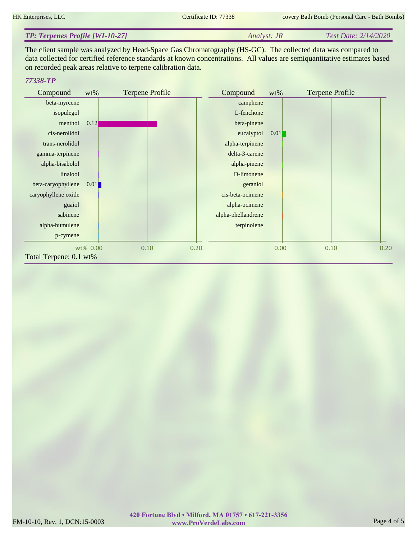| <b>TP: Terpenes Profile [WI-10-27]</b> | <i>Analyst: JR</i> | Test Date: 2/14/2020 |
|----------------------------------------|--------------------|----------------------|
|----------------------------------------|--------------------|----------------------|

The client sample was analyzed by Head-Space Gas Chromatography (HS-GC). The collected data was compared to data collected for certified reference standards at known concentrations. All values are semiquantitative estimates based on recorded peak areas relative to terpene calibration data.

### *77338-TP*